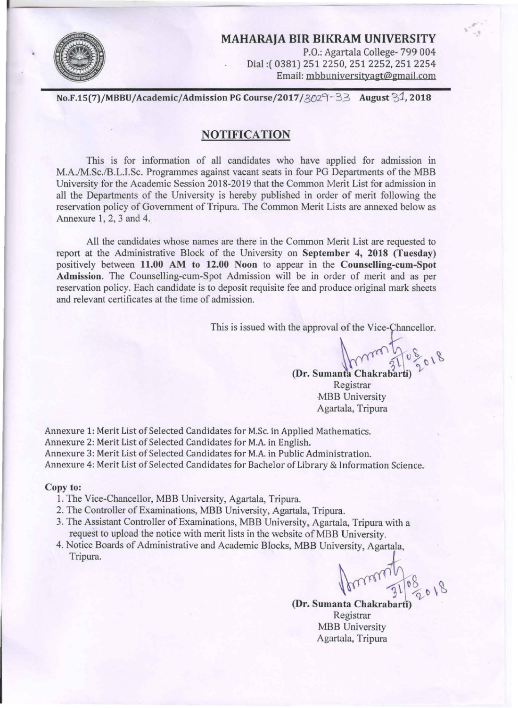

P.O.: Agartala College- 799 004<br>Email: (0381) 251 2250, 251 2252, 251 2254<br>Email: mbbuniversityagt@gmail.com<br>No.F.15(7)/MBBU/Academic/Admission PG Course/2017/3029-33 August 31, 2018 MAHARAJA BIR BIKRAM UNIVERSITY P.O.: Agartala College- 799 004 Dial:( 0381) 251 2250, 251 2252, 251 2254 Email: mbbuniversityagt@gmail.com

### **NOTIFICATION**

This is for information of all candidates who have applied for admission in M.A./M.Sc./B.L.I.Sc. Programmes against vacant seats in four PG Departments of the MBB University for the Academic Session 2018-2019 that the Common Merit List for admission in all the Departments of the University is hereby published in order of merit following the reservation policy of Government of Tripura. The Common Merit Lists are annexed below as Annexure 1, 2, 3 and 4.

All the candidates whose names are there in the Common Merit List are requested to report at the Administrative Block of the University on September 4, 2018 (Tuesday) positively between 11.00 AM to 12.00 Noon to appear in the Counselling-cum-Spot Admission. The Counselling-cum-Spot Admission will be in order of merit and as per reservation policy. Each candidate is to deposit requisite fee and produce original mark sheets and relevant certificates at the time of admission.

This is issued with the approval of the Vice-Chancellor.

, ' ~

(Dr. Sumanta Chakrabarti) Registrar MBB University Agartala, Tripura

Annexure 1: Merit List of Selected Candidates for M.Sc. in Applied Mathematics. Annexure 2: Merit List of Selected Candidates for M.A. in English. Annexure 3: Merit List of Selected Candidates for M.A. in Public Administration. Annexure 4: Merit List of Selected Candidates for Bachelor of Library & Information Science.

#### Copy to:

- 1. The Vice-Chancellor, MBB University, Agartala, Tripura.
- 2. The Controller of Examinations, MBB University, Agartala, Tripura.
- 3. The Assistant Controller of Examinations, MBB University, Agartala, Tripura with a request to upload the notice with merit lists in the website of MBB University.
- 4. Notice Boards of Administrative and Academic Blocks, MBB University, Agartala, Tripura.

Minimal

(Dr. Sumanta Chakrabarti Registrar **MBB** University Agartala, Tripura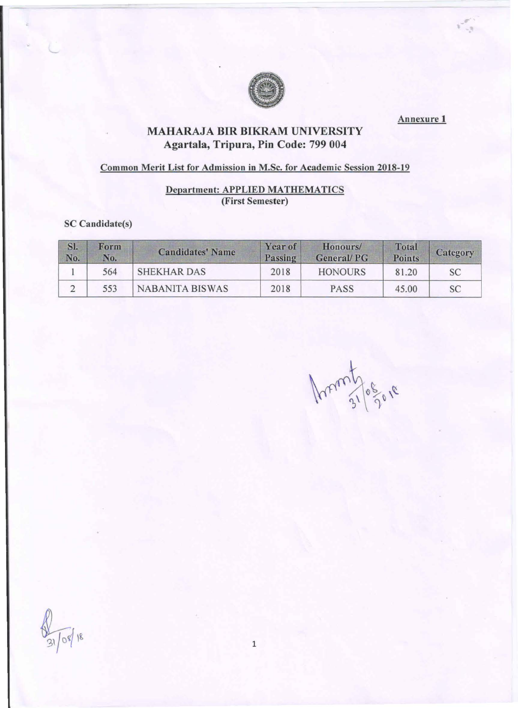

 $\epsilon_{\alpha}^{\mu}$ 

# MAHARAJA BIR BIKRAM UNIVERSITY Agartala, Tripura, Pin Code: 799 004

## Common Merit List for Admission in M.Sc. for Academic Session 2018-19

## Department: APPLIED MATHEMATICS (First Semester)

### SC Candidate(s)

| SI.<br>No. | Form<br>No. | <b>Candidates' Name</b> | <b>Year of</b><br>Passing | Honours/<br><b>General/PG</b> | Total<br><b>Points</b> | Category |
|------------|-------------|-------------------------|---------------------------|-------------------------------|------------------------|----------|
|            | 564         | <b>SHEKHAR DAS</b>      | 2018                      | <b>HONOURS</b>                | 81.20                  | SC       |
|            | 553         | <b>NABANITA BISWAS</b>  | 2018                      | <b>PASS</b>                   | 45.00                  | SC       |

Ament Jogore

 $\sqrt{08}/18$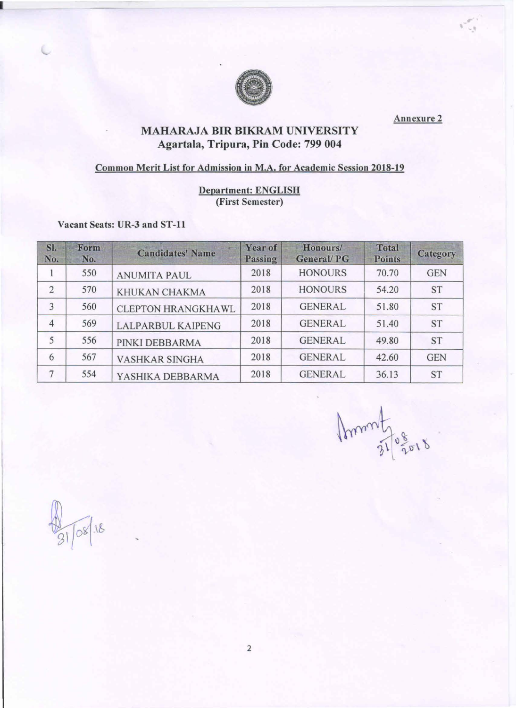

,. ' Ill

# **EXAMPLE AND READ AND ARTICLE IN THE BIKRAM UNIVERSITY** Agartala, Tripura, Pin Code: 799 004

### Common Merit List for Admission in M.A. for Academic Session 2018-19

### Department: ENGLISH (First Semester)

Vacant Seats: UR-3 and ST-11

I

| SI.<br>No.     | Form<br>No. | <b>Candidates' Name</b>   | Year of<br>Passing | Honours/<br><b>General/PG</b> | <b>Total</b><br><b>Points</b> | Category   |
|----------------|-------------|---------------------------|--------------------|-------------------------------|-------------------------------|------------|
|                | 550         | <b>ANUMITA PAUL</b>       | 2018               | <b>HONOURS</b>                | 70.70                         | <b>GEN</b> |
| $\overline{2}$ | 570         | KHUKAN CHAKMA             | 2018               | <b>HONOURS</b>                | 54.20                         | ST         |
| 3              | 560         | <b>CLEPTON HRANGKHAWL</b> | 2018               | <b>GENERAL</b>                | 51.80                         | <b>ST</b>  |
| $\overline{4}$ | 569         | <b>LALPARBUL KAIPENG</b>  | 2018               | <b>GENERAL</b>                | 51.40                         | <b>ST</b>  |
| 5              | 556         | PINKI DEBBARMA            | 2018               | <b>GENERAL</b>                | 49.80                         | <b>ST</b>  |
| 6              | 567         | <b>VASHKAR SINGHA</b>     | 2018               | <b>GENERAL</b>                | 42.60                         | <b>GEN</b> |
| 7              | 554         | YASHIKA DEBBARMA          | 2018               | <b>GENERAL</b>                | 36.13                         | <b>ST</b>  |

Ammthosons

 $\sqrt{08}/18$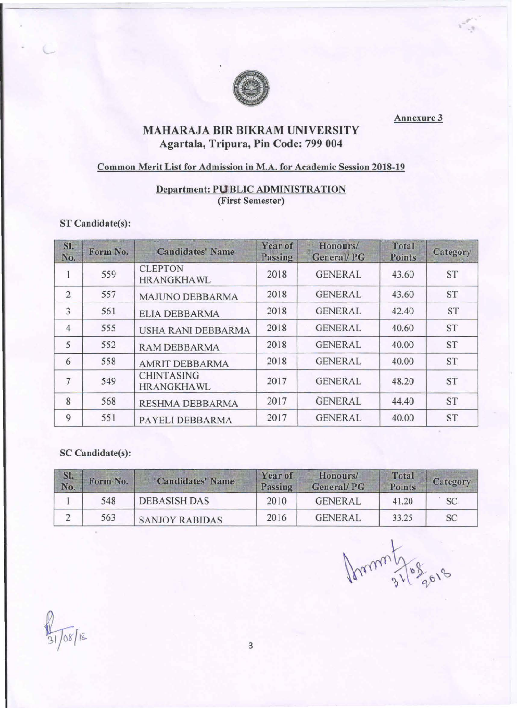

, '

# **EXAMPLE BEE**<br> **MAHARAJA BIR BIKRAM UNIVERSITY** Agartala, Tripura, Pin Code: 799 004

### Common Merit List for Admission in M.A. for Academic Session 2018-19

### Department: PUBLIC ADMINISTRATION (First Semester)

#### ST Candidate(s):

| SI.<br>No.     | Form No. | <b>Candidates' Name</b>                | <b>Year of</b><br>Passing | Honours/<br><b>General/PG</b> | <b>Total</b><br><b>Points</b> | Category  |
|----------------|----------|----------------------------------------|---------------------------|-------------------------------|-------------------------------|-----------|
|                | 559      | <b>CLEPTON</b><br><b>HRANGKHAWL</b>    | 2018                      | <b>GENERAL</b>                | 43.60                         | <b>ST</b> |
| $\overline{2}$ | 557      | <b>MAJUNO DEBBARMA</b>                 | 2018                      | <b>GENERAL</b>                | 43.60                         | <b>ST</b> |
| 3              | 561      | <b>ELIA DEBBARMA</b>                   | 2018                      | <b>GENERAL</b>                | 42.40                         | <b>ST</b> |
| $\overline{4}$ | 555      | <b>USHA RANI DEBBARMA</b>              | 2018                      | <b>GENERAL</b>                | 40.60                         | <b>ST</b> |
| 5              | 552      | <b>RAM DEBBARMA</b>                    | 2018                      | <b>GENERAL</b>                | 40.00                         | <b>ST</b> |
| 6              | 558      | <b>AMRIT DEBBARMA</b>                  | 2018                      | <b>GENERAL</b>                | 40.00                         | <b>ST</b> |
| 7              | 549      | <b>CHINTASING</b><br><b>HRANGKHAWL</b> | 2017                      | <b>GENERAL</b>                | 48.20                         | <b>ST</b> |
| 8              | 568      | <b>RESHMA DEBBARMA</b>                 | 2017                      | <b>GENERAL</b>                | 44.40                         | <b>ST</b> |
| 9              | 551      | PAYELI DEBBARMA                        | 2017                      | <b>GENERAL</b>                | 40.00                         | <b>ST</b> |

### SC Candidate(s):

| SI.<br>No. | Form No. | <b>Candidates' Name</b> | <b>Year of</b><br>Passing | Honours/<br><b>General/PG</b> | <b>Total</b><br><b>Points</b> | Category |
|------------|----------|-------------------------|---------------------------|-------------------------------|-------------------------------|----------|
|            | 548      | <b>DEBASISH DAS</b>     | 2010                      | <b>GENERAL</b>                | 41.20                         | SC       |
|            | 563      | <b>SANJOY RABIDAS</b>   | 2016                      | <b>GENERAL</b>                | 33.25                         | SС       |

Ammy 21/08 go18

 $\sqrt{\frac{8}{18}}$